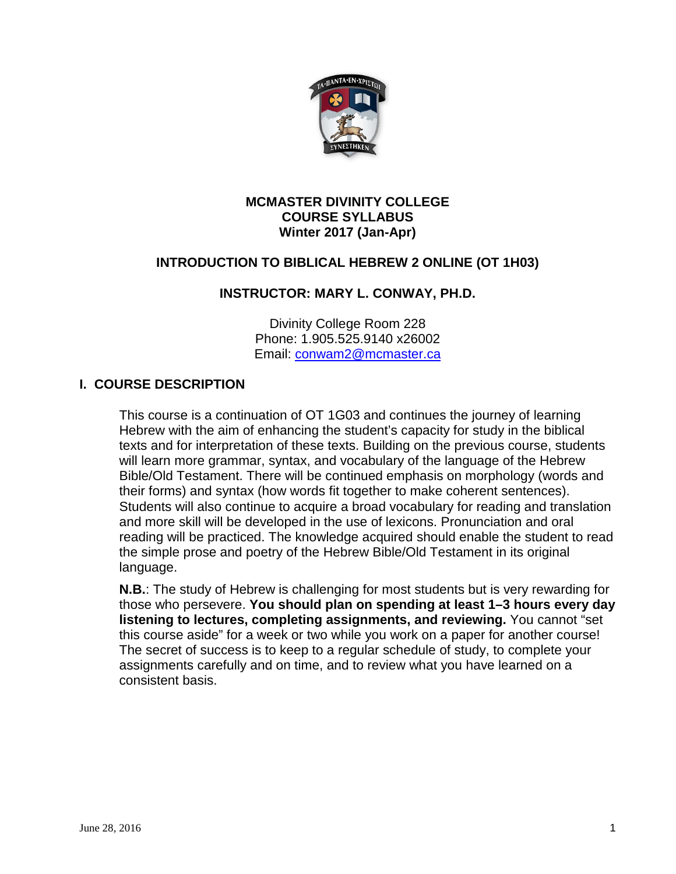

#### **MCMASTER DIVINITY COLLEGE COURSE SYLLABUS Winter 2017 (Jan-Apr)**

# **INTRODUCTION TO BIBLICAL HEBREW 2 ONLINE (OT 1H03)**

## **INSTRUCTOR: MARY L. CONWAY, PH.D.**

Divinity College Room 228 Phone: 1.905.525.9140 x26002 Email: [conwam2@mcmaster.ca](mailto:conwam2@mcmaster.ca)

### **I. COURSE DESCRIPTION**

This course is a continuation of OT 1G03 and continues the journey of learning Hebrew with the aim of enhancing the student's capacity for study in the biblical texts and for interpretation of these texts. Building on the previous course, students will learn more grammar, syntax, and vocabulary of the language of the Hebrew Bible/Old Testament. There will be continued emphasis on morphology (words and their forms) and syntax (how words fit together to make coherent sentences). Students will also continue to acquire a broad vocabulary for reading and translation and more skill will be developed in the use of lexicons. Pronunciation and oral reading will be practiced. The knowledge acquired should enable the student to read the simple prose and poetry of the Hebrew Bible/Old Testament in its original language.

**N.B.**: The study of Hebrew is challenging for most students but is very rewarding for those who persevere. **You should plan on spending at least 1–3 hours every day listening to lectures, completing assignments, and reviewing.** You cannot "set this course aside" for a week or two while you work on a paper for another course! The secret of success is to keep to a regular schedule of study, to complete your assignments carefully and on time, and to review what you have learned on a consistent basis.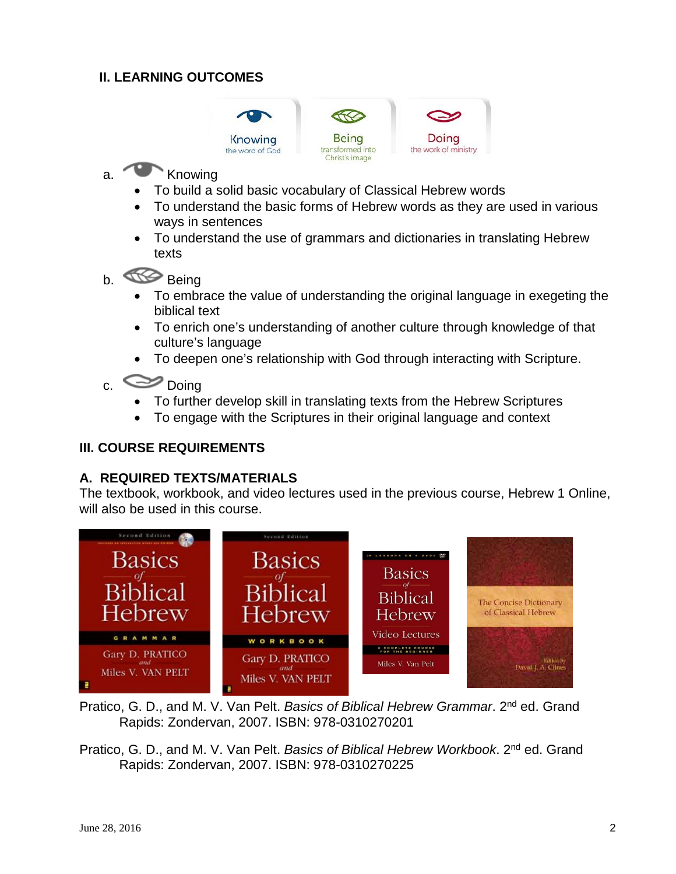# **II. LEARNING OUTCOMES**



# a. Knowing

- To build a solid basic vocabulary of Classical Hebrew words
- To understand the basic forms of Hebrew words as they are used in various ways in sentences
- To understand the use of grammars and dictionaries in translating Hebrew texts
- b. **Being** 
	- To embrace the value of understanding the original language in exegeting the biblical text
	- To enrich one's understanding of another culture through knowledge of that culture's language
	- To deepen one's relationship with God through interacting with Scripture.
- c. Doing
	- To further develop skill in translating texts from the Hebrew Scriptures
	- To engage with the Scriptures in their original language and context

## **III. COURSE REQUIREMENTS**

#### **A. REQUIRED TEXTS/MATERIALS**

The textbook, workbook, and video lectures used in the previous course, Hebrew 1 Online, will also be used in this course.



- Pratico, G. D., and M. V. Van Pelt. *Basics of Biblical Hebrew Grammar*. 2nd ed. Grand Rapids: Zondervan, 2007. ISBN: 978-0310270201
- Pratico, G. D., and M. V. Van Pelt. *Basics of Biblical Hebrew Workbook*. 2nd ed. Grand Rapids: Zondervan, 2007. ISBN: 978-0310270225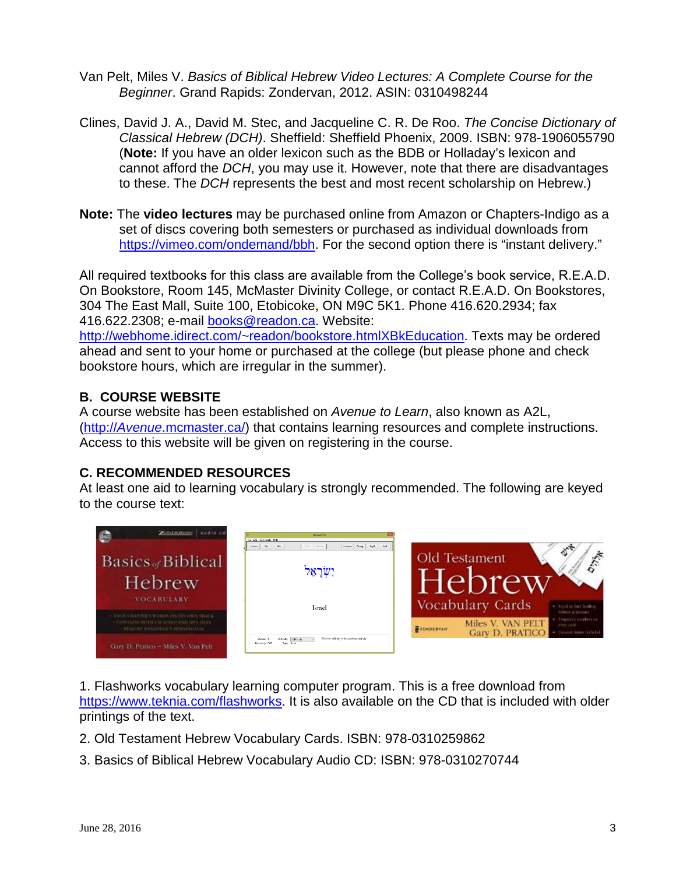- Van Pelt, Miles V. *Basics of Biblical Hebrew Video Lectures: A Complete Course for the Beginner*. Grand Rapids: Zondervan, 2012. ASIN: 0310498244
- Clines, David J. A., David M. Stec, and Jacqueline C. R. De Roo. *The Concise Dictionary of Classical Hebrew (DCH)*. Sheffield: Sheffield Phoenix, 2009. ISBN: 978-1906055790 (**Note:** If you have an older lexicon such as the BDB or Holladay's lexicon and cannot afford the *DCH*, you may use it. However, note that there are disadvantages to these. The *DCH* represents the best and most recent scholarship on Hebrew.)
- **Note:** The **video lectures** may be purchased online from Amazon or Chapters-Indigo as a set of discs covering both semesters or purchased as individual downloads from [https://vimeo.com/ondemand/bbh.](https://vimeo.com/ondemand/bbh) For the second option there is "instant delivery."

All required textbooks for this class are available from the College's book service, R.E.A.D. On Bookstore, Room 145, McMaster Divinity College, or contact R.E.A.D. On Bookstores, 304 The East Mall, Suite 100, Etobicoke, ON M9C 5K1. Phone 416.620.2934; fax 416.622.2308; e-mail [books@readon.ca.](mailto:books@readon.ca) Website:

[http://webhome.idirect.com/~readon/bookstore.htmlXBkEducation.](http://webhome.idirect.com/%7Ereadon/bookstore.html#BkEducation) Texts may be ordered ahead and sent to your home or purchased at the college (but please phone and check bookstore hours, which are irregular in the summer).

# **B. COURSE WEBSITE**

A course website has been established on *Avenue to Learn*, also known as A2L, (http://*Avenue*[.mcmaster.ca/\)](http://avenue.mcmaster.ca/) that contains learning resources and complete instructions. Access to this website will be given on registering in the course.

## **C. RECOMMENDED RESOURCES**

At least one aid to learning vocabulary is strongly recommended. The following are keyed to the course text:



1. Flashworks vocabulary learning computer program. This is a free download from [https://www.teknia.com/flashworks.](https://www.teknia.com/flashworks) It is also available on the CD that is included with older printings of the text.

- 2. Old Testament Hebrew Vocabulary Cards. ISBN: 978-0310259862
- 3. Basics of Biblical Hebrew Vocabulary Audio CD: ISBN: 978-0310270744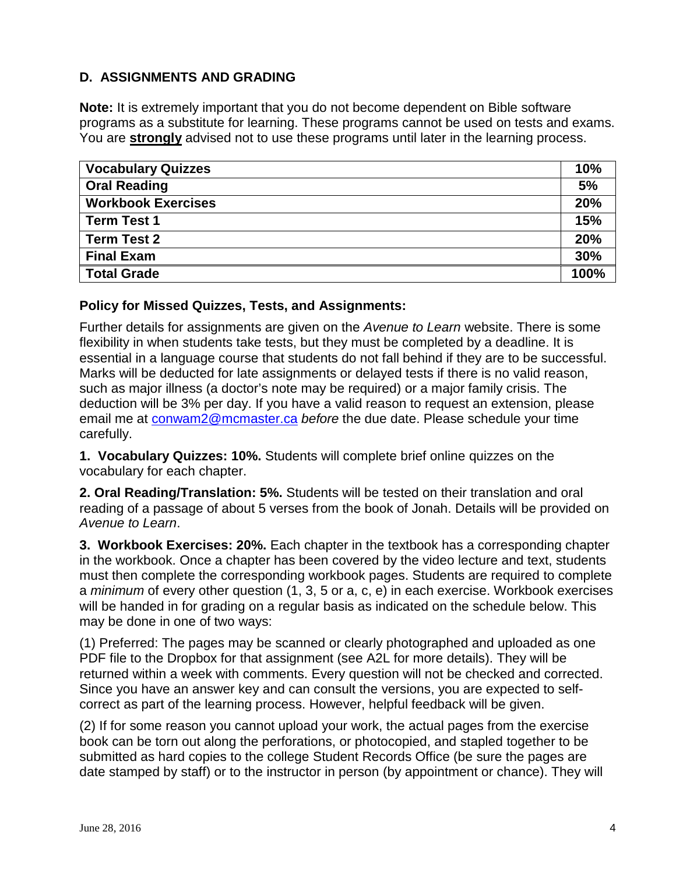# **D. ASSIGNMENTS AND GRADING**

**Note:** It is extremely important that you do not become dependent on Bible software programs as a substitute for learning. These programs cannot be used on tests and exams. You are **strongly** advised not to use these programs until later in the learning process.

| <b>Vocabulary Quizzes</b> | 10%  |
|---------------------------|------|
| <b>Oral Reading</b>       | 5%   |
| <b>Workbook Exercises</b> | 20%  |
| <b>Term Test 1</b>        | 15%  |
| <b>Term Test 2</b>        | 20%  |
| <b>Final Exam</b>         | 30%  |
| <b>Total Grade</b>        | 100% |

### **Policy for Missed Quizzes, Tests, and Assignments:**

Further details for assignments are given on the *Avenue to Learn* website. There is some flexibility in when students take tests, but they must be completed by a deadline. It is essential in a language course that students do not fall behind if they are to be successful. Marks will be deducted for late assignments or delayed tests if there is no valid reason, such as major illness (a doctor's note may be required) or a major family crisis. The deduction will be 3% per day. If you have a valid reason to request an extension, please email me at [conwam2@mcmaster.ca](mailto:conwam2@mcmaster.ca) *before* the due date. Please schedule your time carefully.

**1. Vocabulary Quizzes: 10%.** Students will complete brief online quizzes on the vocabulary for each chapter.

**2. Oral Reading/Translation: 5%.** Students will be tested on their translation and oral reading of a passage of about 5 verses from the book of Jonah. Details will be provided on *Avenue to Learn*.

**3. Workbook Exercises: 20%.** Each chapter in the textbook has a corresponding chapter in the workbook. Once a chapter has been covered by the video lecture and text, students must then complete the corresponding workbook pages. Students are required to complete a *minimum* of every other question (1, 3, 5 or a, c, e) in each exercise. Workbook exercises will be handed in for grading on a regular basis as indicated on the schedule below. This may be done in one of two ways:

(1) Preferred: The pages may be scanned or clearly photographed and uploaded as one PDF file to the Dropbox for that assignment (see A2L for more details). They will be returned within a week with comments. Every question will not be checked and corrected. Since you have an answer key and can consult the versions, you are expected to selfcorrect as part of the learning process. However, helpful feedback will be given.

(2) If for some reason you cannot upload your work, the actual pages from the exercise book can be torn out along the perforations, or photocopied, and stapled together to be submitted as hard copies to the college Student Records Office (be sure the pages are date stamped by staff) or to the instructor in person (by appointment or chance). They will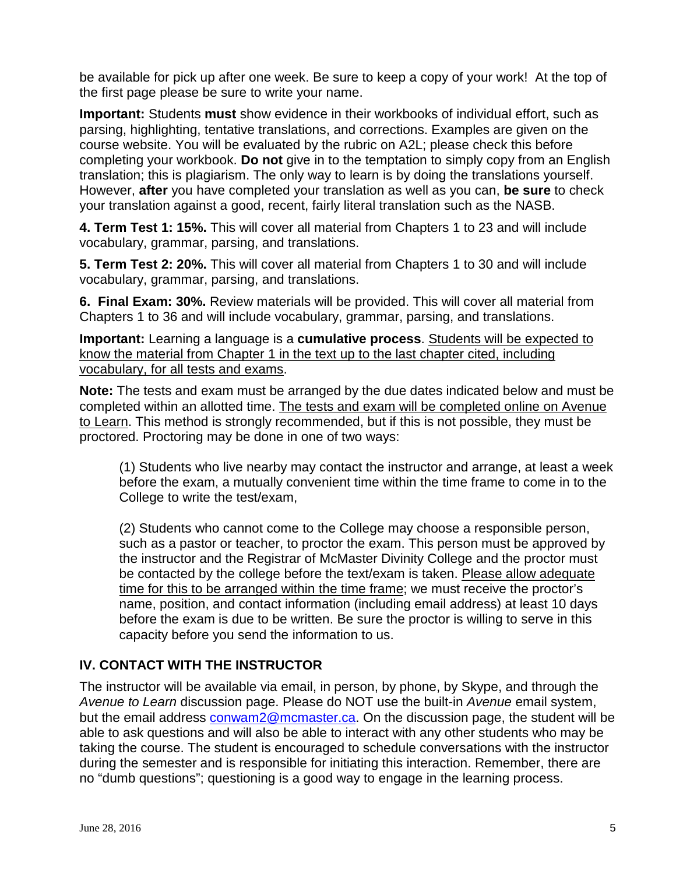be available for pick up after one week. Be sure to keep a copy of your work! At the top of the first page please be sure to write your name.

**Important:** Students **must** show evidence in their workbooks of individual effort, such as parsing, highlighting, tentative translations, and corrections. Examples are given on the course website. You will be evaluated by the rubric on A2L; please check this before completing your workbook. **Do not** give in to the temptation to simply copy from an English translation; this is plagiarism. The only way to learn is by doing the translations yourself. However, **after** you have completed your translation as well as you can, **be sure** to check your translation against a good, recent, fairly literal translation such as the NASB.

**4. Term Test 1: 15%.** This will cover all material from Chapters 1 to 23 and will include vocabulary, grammar, parsing, and translations.

**5. Term Test 2: 20%.** This will cover all material from Chapters 1 to 30 and will include vocabulary, grammar, parsing, and translations.

**6. Final Exam: 30%.** Review materials will be provided. This will cover all material from Chapters 1 to 36 and will include vocabulary, grammar, parsing, and translations.

**Important:** Learning a language is a **cumulative process**. Students will be expected to know the material from Chapter 1 in the text up to the last chapter cited, including vocabulary, for all tests and exams.

**Note:** The tests and exam must be arranged by the due dates indicated below and must be completed within an allotted time. The tests and exam will be completed online on Avenue to Learn. This method is strongly recommended, but if this is not possible, they must be proctored. Proctoring may be done in one of two ways:

(1) Students who live nearby may contact the instructor and arrange, at least a week before the exam, a mutually convenient time within the time frame to come in to the College to write the test/exam,

(2) Students who cannot come to the College may choose a responsible person, such as a pastor or teacher, to proctor the exam. This person must be approved by the instructor and the Registrar of McMaster Divinity College and the proctor must be contacted by the college before the text/exam is taken. Please allow adequate time for this to be arranged within the time frame; we must receive the proctor's name, position, and contact information (including email address) at least 10 days before the exam is due to be written. Be sure the proctor is willing to serve in this capacity before you send the information to us.

# **IV. CONTACT WITH THE INSTRUCTOR**

The instructor will be available via email, in person, by phone, by Skype, and through the *Avenue to Learn* discussion page. Please do NOT use the built-in *Avenue* email system, but the email address [conwam2@mcmaster.ca.](mailto:conwam2@mcmaster.ca) On the discussion page, the student will be able to ask questions and will also be able to interact with any other students who may be taking the course. The student is encouraged to schedule conversations with the instructor during the semester and is responsible for initiating this interaction. Remember, there are no "dumb questions"; questioning is a good way to engage in the learning process.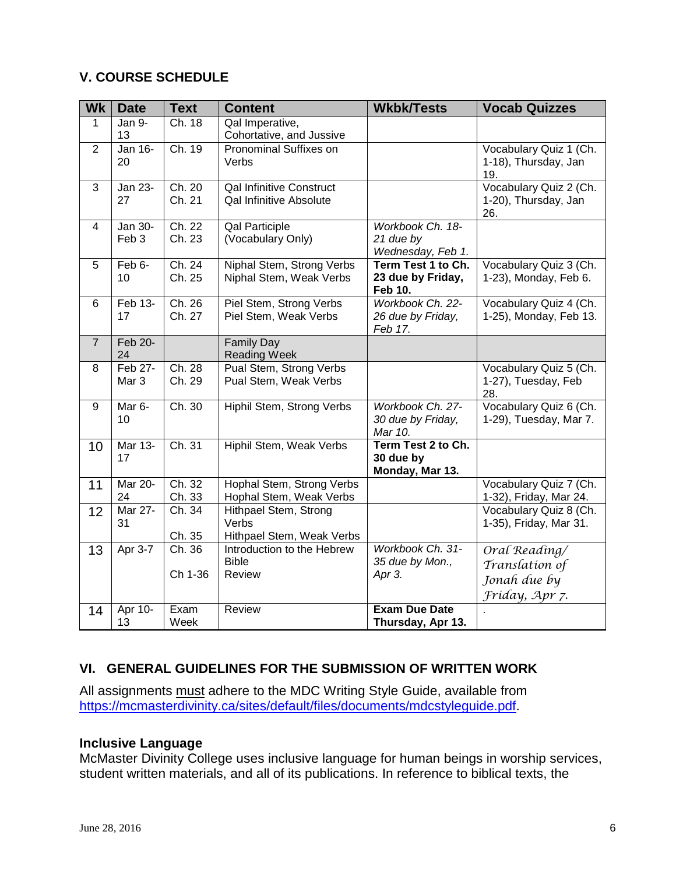# **V. COURSE SCHEDULE**

| <b>Wk</b>      | <b>Date</b>                 | <b>Text</b>      | <b>Content</b>                                              | <b>Wkbk/Tests</b>                                  | <b>Vocab Quizzes</b>                                  |
|----------------|-----------------------------|------------------|-------------------------------------------------------------|----------------------------------------------------|-------------------------------------------------------|
| $\mathbf{1}$   | Jan 9-<br>13                | Ch. 18           | Qal Imperative,<br>Cohortative, and Jussive                 |                                                    |                                                       |
| 2              | Jan 16-<br>20               | Ch. 19           | Pronominal Suffixes on<br>Verbs                             |                                                    | Vocabulary Quiz 1 (Ch.<br>1-18), Thursday, Jan<br>19. |
| 3              | <b>Jan 23-</b><br>27        | Ch. 20<br>Ch. 21 | <b>Qal Infinitive Construct</b><br>Qal Infinitive Absolute  |                                                    | Vocabulary Quiz 2 (Ch.<br>1-20), Thursday, Jan<br>26. |
| $\overline{4}$ | <b>Jan 30-</b>              | Ch. 22           | <b>Qal Participle</b>                                       | Workbook Ch. 18-                                   |                                                       |
|                | Feb <sub>3</sub>            | Ch. 23           | (Vocabulary Only)                                           | 21 due by<br>Wednesday, Feb 1.                     |                                                       |
| 5              | Feb 6-<br>10                | Ch. 24<br>Ch. 25 | Niphal Stem, Strong Verbs<br>Niphal Stem, Weak Verbs        | Term Test 1 to Ch.<br>23 due by Friday,<br>Feb 10. | Vocabulary Quiz 3 (Ch.<br>1-23), Monday, Feb 6.       |
| 6              | Feb 13-<br>17               | Ch. 26<br>Ch. 27 | Piel Stem, Strong Verbs<br>Piel Stem, Weak Verbs            | Workbook Ch. 22-<br>26 due by Friday,<br>Feb 17.   | Vocabulary Quiz 4 (Ch.<br>1-25), Monday, Feb 13.      |
| $\overline{7}$ | Feb 20-<br>24               |                  | <b>Family Day</b><br><b>Reading Week</b>                    |                                                    |                                                       |
| 8              | Feb 27-<br>Mar <sub>3</sub> | Ch. 28<br>Ch. 29 | Pual Stem, Strong Verbs<br>Pual Stem, Weak Verbs            |                                                    | Vocabulary Quiz 5 (Ch.<br>1-27), Tuesday, Feb<br>28.  |
| 9              | Mar 6-<br>10                | Ch.30            | Hiphil Stem, Strong Verbs                                   | Workbook Ch. 27-<br>30 due by Friday,<br>Mar 10.   | Vocabulary Quiz 6 (Ch.<br>1-29), Tuesday, Mar 7.      |
| 10             | Mar 13-<br>17               | Ch. 31           | Hiphil Stem, Weak Verbs                                     | Term Test 2 to Ch.<br>30 due by<br>Monday, Mar 13. |                                                       |
| 11             | <b>Mar 20-</b><br>24        | Ch. 32<br>Ch. 33 | Hophal Stem, Strong Verbs<br>Hophal Stem, Weak Verbs        |                                                    | Vocabulary Quiz 7 (Ch.<br>1-32), Friday, Mar 24.      |
| 12             | <b>Mar 27-</b><br>31        | Ch.34<br>Ch. 35  | Hithpael Stem, Strong<br>Verbs<br>Hithpael Stem, Weak Verbs |                                                    | Vocabulary Quiz 8 (Ch.<br>1-35), Friday, Mar 31.      |
| 13             | Apr 3-7                     | Ch. 36           | Introduction to the Hebrew                                  | Workbook Ch. 31-                                   | Oral Reading/                                         |
|                |                             |                  | <b>Bible</b>                                                | 35 due by Mon.,                                    | Translation of                                        |
|                |                             | Ch 1-36          | Review                                                      | Apr 3.                                             |                                                       |
|                |                             |                  |                                                             |                                                    | Jonah due by                                          |
|                |                             |                  |                                                             |                                                    | Fríday, Apr 7.                                        |
| 14             | Apr 10-<br>13               | Exam<br>Week     | Review                                                      | <b>Exam Due Date</b><br>Thursday, Apr 13.          |                                                       |

# **VI. GENERAL GUIDELINES FOR THE SUBMISSION OF WRITTEN WORK**

All assignments <u>must</u> adhere to the MDC Writing Style Guide, available from [https://mcmasterdivinity.ca/sites/default/files/documents/mdcstyleguide.pdf.](https://mcmasterdivinity.ca/sites/default/files/documents/mdcstyleguide.pdf)

#### **Inclusive Language**

McMaster Divinity College uses inclusive language for human beings in worship services, student written materials, and all of its publications. In reference to biblical texts, the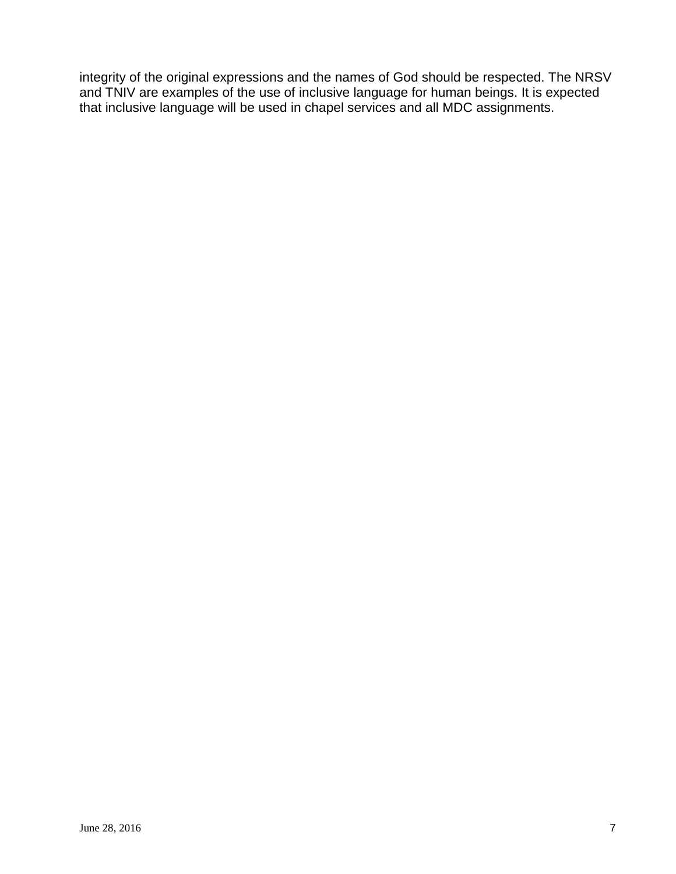integrity of the original expressions and the names of God should be respected. The NRSV and TNIV are examples of the use of inclusive language for human beings. It is expected that inclusive language will be used in chapel services and all MDC assignments.